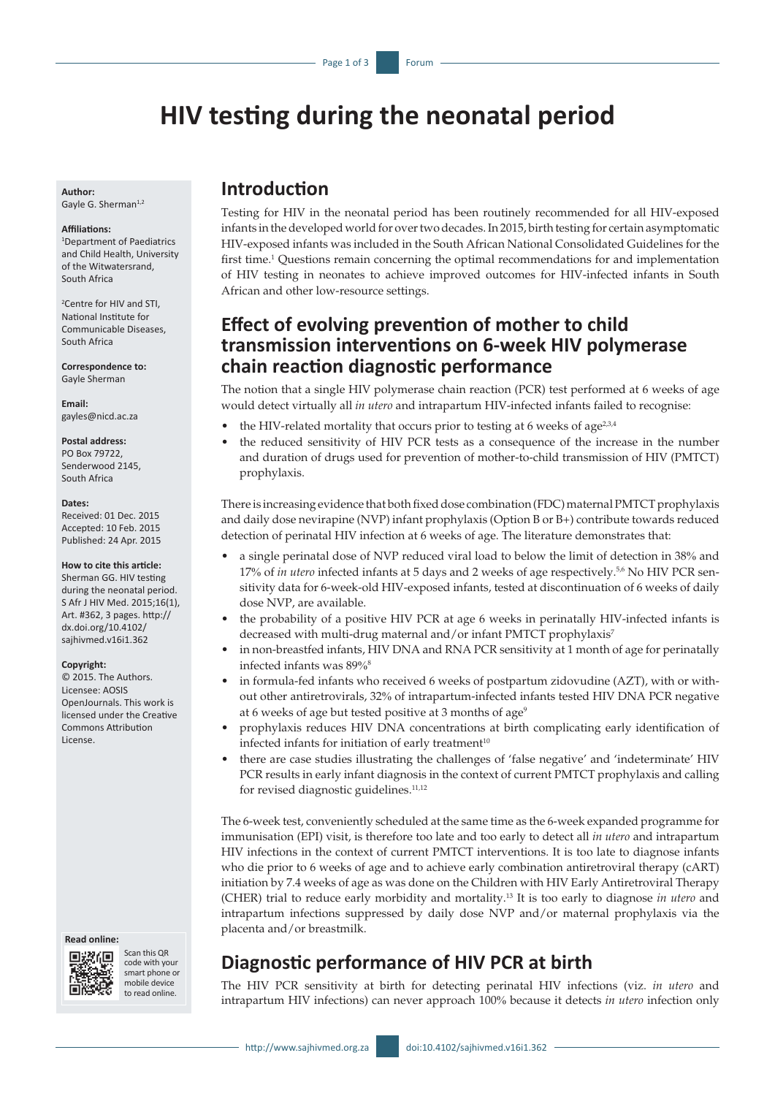# **HIV testing during the neonatal period**

**Author:** Gayle G. Sherman<sup>1,2</sup>

#### **Affiliations:**

1 Department of Paediatrics and Child Health, University of the Witwatersrand, South Africa

2 Centre for HIV and STI, National Institute for Communicable Diseases, South Africa

**Correspondence to:** Gayle Sherman

**Email:** [gayles@nicd.ac.za](mailto:gayles@nicd.ac.za)

**Postal address:** PO Box 79722,

Senderwood 2145, South Africa

#### **Dates:**

Received: 01 Dec. 2015 Accepted: 10 Feb. 2015 Published: 24 Apr. 2015

**How to cite this article:** Sherman GG. HIV testing

during the neonatal period. S Afr J HIV Med. 2015;16(1), Art. #362, 3 pages. [http://](http://dx.doi.org/10.4102/sajhivmed.v16i1.362) [dx.doi.org/10.4102/](http://dx.doi.org/10.4102/sajhivmed.v16i1.362) [sajhivmed.v16i1.362](http://dx.doi.org/10.4102/sajhivmed.v16i1.362)

#### **Copyright:**

© 2015. The Authors. Licensee: AOSIS OpenJournals. This work is licensed under the Creative Commons Attribution License.

#### **Read online:**



Scan this QR code with your smart phone or mobile device to read online.

### **Introduction**

Testing for HIV in the neonatal period has been routinely recommended for all HIV-exposed infants in the developed world for over two decades. In 2015, birth testing for certain asymptomatic HIV-exposed infants was included in the South African National Consolidated Guidelines for the first time.<sup>1</sup> Questions remain concerning the optimal recommendations for and implementation of HIV testing in neonates to achieve improved outcomes for HIV-infected infants in South African and other low-resource settings.

## **Effect of evolving prevention of mother to child transmission interventions on 6-week HIV polymerase chain reaction diagnostic performance**

The notion that a single HIV polymerase chain reaction (PCR) test performed at 6 weeks of age would detect virtually all *in utero* and intrapartum HIV-infected infants failed to recognise:

- the HIV-related mortality that occurs prior to testing at 6 weeks of age<sup>2,3,4</sup>
- the reduced sensitivity of HIV PCR tests as a consequence of the increase in the number and duration of drugs used for prevention of mother-to-child transmission of HIV (PMTCT) prophylaxis.

There is increasing evidence that both fixed dose combination (FDC) maternal PMTCT prophylaxis and daily dose nevirapine (NVP) infant prophylaxis (Option B or B+) contribute towards reduced detection of perinatal HIV infection at 6 weeks of age. The literature demonstrates that:

- a single perinatal dose of NVP reduced viral load to below the limit of detection in 38% and 17% of *in utero* infected infants at 5 days and 2 weeks of age respectively.<sup>5,6</sup> No HIV PCR sensitivity data for 6-week-old HIV-exposed infants, tested at discontinuation of 6 weeks of daily dose NVP, are available.
- the probability of a positive HIV PCR at age 6 weeks in perinatally HIV-infected infants is decreased with multi-drug maternal and/or infant PMTCT prophylaxis<sup>7</sup>
- in non-breastfed infants, HIV DNA and RNA PCR sensitivity at 1 month of age for perinatally infected infants was 89%<sup>8</sup>
- in formula-fed infants who received 6 weeks of postpartum zidovudine (AZT), with or without other antiretrovirals, 32% of intrapartum-infected infants tested HIV DNA PCR negative at 6 weeks of age but tested positive at 3 months of age<sup>9</sup>
- prophylaxis reduces HIV DNA concentrations at birth complicating early identification of infected infants for initiation of early treatment<sup>10</sup>
- there are case studies illustrating the challenges of 'false negative' and 'indeterminate' HIV PCR results in early infant diagnosis in the context of current PMTCT prophylaxis and calling for revised diagnostic guidelines.<sup>11,12</sup>

The 6-week test, conveniently scheduled at the same time as the 6-week expanded programme for immunisation (EPI) visit, is therefore too late and too early to detect all *in utero* and intrapartum HIV infections in the context of current PMTCT interventions. It is too late to diagnose infants who die prior to 6 weeks of age and to achieve early combination antiretroviral therapy (cART) initiation by 7.4 weeks of age as was done on the Children with HIV Early Antiretroviral Therapy (CHER) trial to reduce early morbidity and mortality.13 It is too early to diagnose *in utero* and intrapartum infections suppressed by daily dose NVP and/or maternal prophylaxis via the placenta and/or breastmilk.

# **Diagnostic performance of HIV PCR at birth**

The HIV PCR sensitivity at birth for detecting perinatal HIV infections (viz. *in utero* and intrapartum HIV infections) can never approach 100% because it detects *in utero* infection only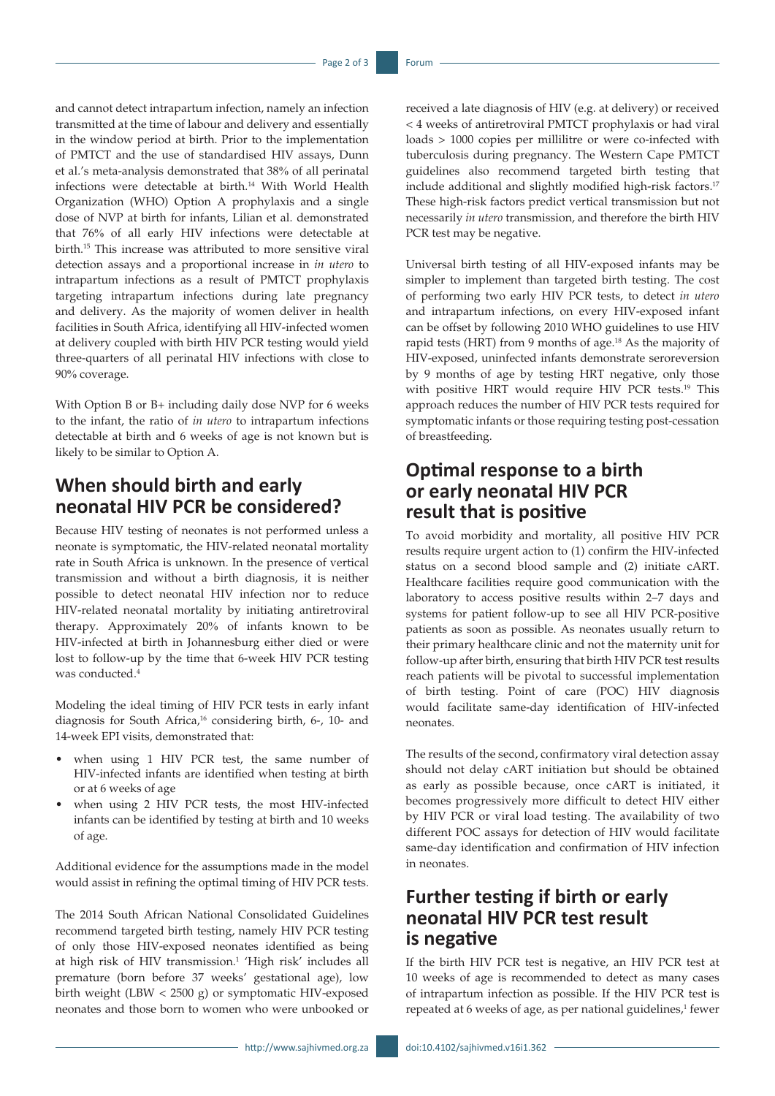and cannot detect intrapartum infection, namely an infection transmitted at the time of labour and delivery and essentially in the window period at birth. Prior to the implementation of PMTCT and the use of standardised HIV assays, Dunn et al.'s meta-analysis demonstrated that 38% of all perinatal infections were detectable at birth.14 With World Health Organization (WHO) Option A prophylaxis and a single dose of NVP at birth for infants, Lilian et al. demonstrated that 76% of all early HIV infections were detectable at birth.15 This increase was attributed to more sensitive viral detection assays and a proportional increase in *in utero* to intrapartum infections as a result of PMTCT prophylaxis targeting intrapartum infections during late pregnancy and delivery. As the majority of women deliver in health facilities in South Africa, identifying all HIV-infected women at delivery coupled with birth HIV PCR testing would yield three-quarters of all perinatal HIV infections with close to 90% coverage.

With Option B or B+ including daily dose NVP for 6 weeks to the infant, the ratio of *in utero* to intrapartum infections detectable at birth and 6 weeks of age is not known but is likely to be similar to Option A.

### **When should birth and early neonatal HIV PCR be considered?**

Because HIV testing of neonates is not performed unless a neonate is symptomatic, the HIV-related neonatal mortality rate in South Africa is unknown. In the presence of vertical transmission and without a birth diagnosis, it is neither possible to detect neonatal HIV infection nor to reduce HIV-related neonatal mortality by initiating antiretroviral therapy. Approximately 20% of infants known to be HIV-infected at birth in Johannesburg either died or were lost to follow-up by the time that 6-week HIV PCR testing was conducted.4

Modeling the ideal timing of HIV PCR tests in early infant diagnosis for South Africa,<sup>16</sup> considering birth, 6-, 10- and 14-week EPI visits, demonstrated that:

- when using 1 HIV PCR test, the same number of HIV-infected infants are identified when testing at birth or at 6 weeks of age
- when using 2 HIV PCR tests, the most HIV-infected infants can be identified by testing at birth and 10 weeks of age.

Additional evidence for the assumptions made in the model would assist in refining the optimal timing of HIV PCR tests.

The 2014 South African National Consolidated Guidelines recommend targeted birth testing, namely HIV PCR testing of only those HIV-exposed neonates identified as being at high risk of HIV transmission.<sup>1</sup> 'High risk' includes all premature (born before 37 weeks' gestational age), low birth weight (LBW < 2500 g) or symptomatic HIV-exposed neonates and those born to women who were unbooked or

received a late diagnosis of HIV (e.g. at delivery) or received < 4 weeks of antiretroviral PMTCT prophylaxis or had viral loads > 1000 copies per millilitre or were co-infected with tuberculosis during pregnancy. The Western Cape PMTCT guidelines also recommend targeted birth testing that include additional and slightly modified high-risk factors.<sup>17</sup> These high-risk factors predict vertical transmission but not necessarily *in utero* transmission, and therefore the birth HIV PCR test may be negative.

Universal birth testing of all HIV-exposed infants may be simpler to implement than targeted birth testing. The cost of performing two early HIV PCR tests, to detect *in utero* and intrapartum infections, on every HIV-exposed infant can be offset by following 2010 WHO guidelines to use HIV rapid tests (HRT) from 9 months of age.<sup>18</sup> As the majority of HIV-exposed, uninfected infants demonstrate seroreversion by 9 months of age by testing HRT negative, only those with positive HRT would require HIV PCR tests.19 This approach reduces the number of HIV PCR tests required for symptomatic infants or those requiring testing post-cessation of breastfeeding.

### **Optimal response to a birth or early neonatal HIV PCR result that is positive**

To avoid morbidity and mortality, all positive HIV PCR results require urgent action to (1) confirm the HIV-infected status on a second blood sample and (2) initiate cART. Healthcare facilities require good communication with the laboratory to access positive results within 2–7 days and systems for patient follow-up to see all HIV PCR-positive patients as soon as possible. As neonates usually return to their primary healthcare clinic and not the maternity unit for follow-up after birth, ensuring that birth HIV PCR test results reach patients will be pivotal to successful implementation of birth testing. Point of care (POC) HIV diagnosis would facilitate same-day identification of HIV-infected neonates.

The results of the second, confirmatory viral detection assay should not delay cART initiation but should be obtained as early as possible because, once cART is initiated, it becomes progressively more difficult to detect HIV either by HIV PCR or viral load testing. The availability of two different POC assays for detection of HIV would facilitate same-day identification and confirmation of HIV infection in neonates.

## **Further testing if birth or early neonatal HIV PCR test result is negative**

If the birth HIV PCR test is negative, an HIV PCR test at 10 weeks of age is recommended to detect as many cases of intrapartum infection as possible. If the HIV PCR test is repeated at 6 weeks of age, as per national guidelines,<sup>1</sup> fewer